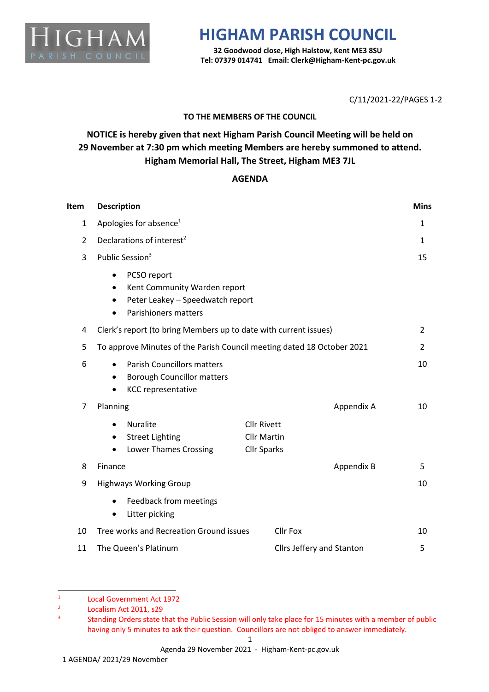

## **HIGHAM PARISH COUNCIL**

**32 Goodwood close, High Halstow, Kent ME3 8SU Tel: 07379 014741 Email: Clerk@Higham-Kent-pc.gov.uk**

C/11/2021-22/PAGES 1-2

### **TO THE MEMBERS OF THE COUNCIL**

## **NOTICE is hereby given that next Higham Parish Council Meeting will be held on 29 November at 7:30 pm which meeting Members are hereby summoned to attend. Higham Memorial Hall, The Street, Higham ME3 7JL**

#### **AGENDA**

| Item           | <b>Description</b>                                                                                                                                  |                                                                |                           | <b>Mins</b>  |
|----------------|-----------------------------------------------------------------------------------------------------------------------------------------------------|----------------------------------------------------------------|---------------------------|--------------|
| $\mathbf{1}$   | Apologies for absence <sup>1</sup>                                                                                                                  |                                                                |                           | 1            |
| $\overline{2}$ | Declarations of interest <sup>2</sup>                                                                                                               |                                                                |                           | $\mathbf{1}$ |
| 3              | Public Session <sup>3</sup>                                                                                                                         |                                                                |                           | 15           |
|                | PCSO report<br>٠<br>Kent Community Warden report<br>$\bullet$<br>Peter Leakey - Speedwatch report<br>$\bullet$<br>Parishioners matters<br>$\bullet$ |                                                                |                           |              |
| 4              | Clerk's report (to bring Members up to date with current issues)                                                                                    |                                                                |                           | 2            |
| 5              | To approve Minutes of the Parish Council meeting dated 18 October 2021                                                                              |                                                                |                           | 2            |
| 6              | <b>Parish Councillors matters</b><br>$\bullet$<br><b>Borough Councillor matters</b><br>$\bullet$<br><b>KCC representative</b>                       |                                                                |                           | 10           |
| 7              | Planning                                                                                                                                            |                                                                | Appendix A                | 10           |
|                | <b>Nuralite</b><br>$\bullet$<br><b>Street Lighting</b><br>٠<br><b>Lower Thames Crossing</b><br>$\bullet$                                            | <b>Cllr Rivett</b><br><b>Cllr Martin</b><br><b>Cllr Sparks</b> |                           |              |
| 8              | Finance                                                                                                                                             |                                                                | Appendix B                | 5            |
| 9              | <b>Highways Working Group</b>                                                                                                                       |                                                                |                           | 10           |
|                | Feedback from meetings<br>$\bullet$<br>Litter picking<br>$\bullet$                                                                                  |                                                                |                           |              |
| 10             | Tree works and Recreation Ground issues                                                                                                             | <b>Cllr Fox</b>                                                |                           | 10           |
| 11             | The Queen's Platinum                                                                                                                                |                                                                | Cllrs Jeffery and Stanton | 5            |

<sup>1</sup> Local Government Act 1972

<sup>2</sup> Localism Act 2011, s29

<sup>3</sup> Standing Orders state that the Public Session will only take place for 15 minutes with a member of public having only 5 minutes to ask their question. Councillors are not obliged to answer immediately.